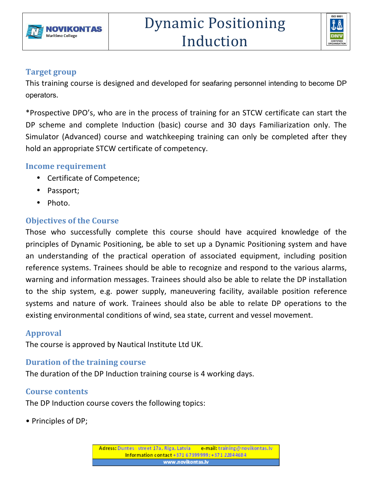



#### **Target group**

This training course is designed and developed for seafaring personnel intending to become DP operators.

\*Prospective DPO's, who are in the process of training for an STCW certificate can start the DP scheme and complete Induction (basic) course and 30 days Familiarization only. The Simulator (Advanced) course and watchkeeping training can only be completed after they hold an appropriate STCW certificate of competency.

#### **Income requirement**

- Certificate of Competence;
- Passport;
- Photo.

## **Objectives of the Course**

Those who successfully complete this course should have acquired knowledge of the principles of Dynamic Positioning, be able to set up a Dynamic Positioning system and have an understanding of the practical operation of associated equipment, including position reference systems. Trainees should be able to recognize and respond to the various alarms, warning and information messages. Trainees should also be able to relate the DP installation to the ship system, e.g. power supply, maneuvering facility, available position reference systems and nature of work. Trainees should also be able to relate DP operations to the existing environmental conditions of wind, sea state, current and vessel movement.

## **Approval**

The course is approved by Nautical Institute Ltd UK.

## **Duration of the training course**

The duration of the DP Induction training course is 4 working days.

## **Course contents**

The DP Induction course covers the following topics:

• Principles of DP;

Adress: Duntes street 17a, Riga, Latvia e-mail: training@novikontas.lv Information contact +371 67399999; +371 22844684 www.novikontas.lv